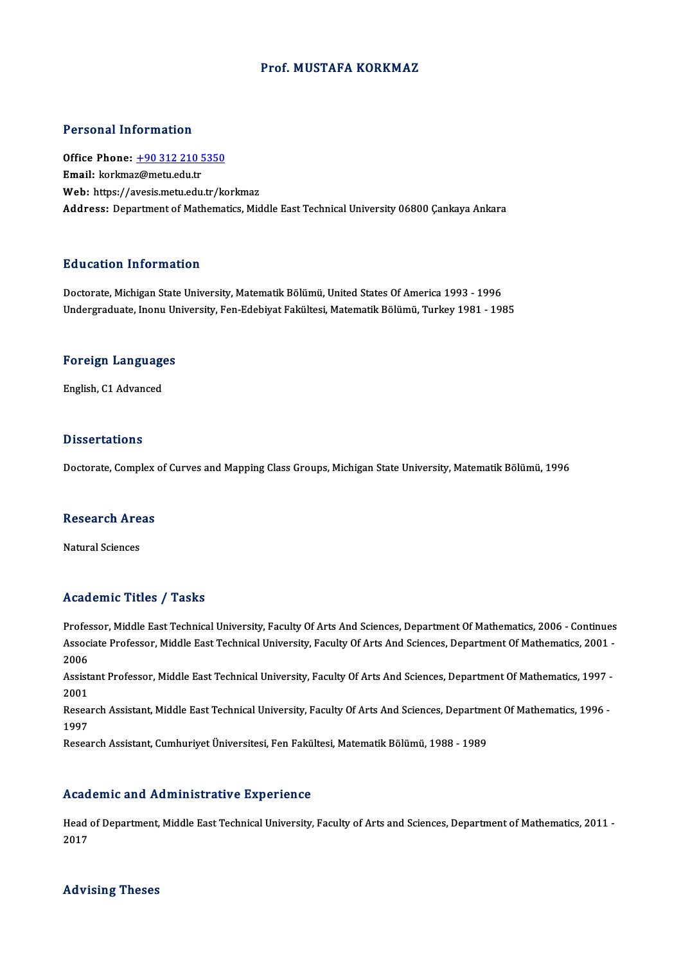#### Prof.MUSTAFA KORKMAZ

#### Personal Information

Personal Information<br>Office Phone: <u>+90 312 210 5350</u><br>Email: kerkmaz@metuedu.tr Procedure interests<br>Office Phone: <u>+90 312 210 5</u><br>Email: korkma[z@metu.edu.tr](tel:+90 312 210 5350) Email: korkmaz@metu.edu.tr<br>Web: https://avesis.metu.edu.tr/korkmaz Address: Department of Mathematics, Middle East Technical University 06800 Cankaya Ankara

#### Education Information

<mark>Education Information</mark><br>Doctorate, Michigan State University, Matematik Bölümü, United States Of America 1993 - 1996<br>Undergraduate Jaony University, Een Edebiyat Felsültesi Matematik Bölümü, Turkey 1981 - 199 undergraf IIII of Inderon<br>Doctorate, Michigan State University, Matematik Bölümü, United States Of America 1993 - 1996<br>Undergraduate, Inonu University, Fen-Edebiyat Fakültesi, Matematik Bölümü, Turkey 1981 - 1985

## <sub>ondergraduate, mont or<br>Foreign Languages</sub> F<mark>oreign Languag</mark>e<br>English, C1 Advanced

English, C1 Advanced<br>Dissertations

Doctorate, Complex of Curves and Mapping Class Groups, Michigan State University, Matematik Bölümü, 1996

## Doctorate, Complex<br>Research Areas <mark>Research Are</mark><br>Natural Sciences

## Natural Sciences<br>Academic Titles / Tasks

Professor, Middle East Technical University, Faculty Of Arts And Sciences, Department Of Mathematics, 2006 - Continues Associate Profess / Professor<br>Professor, Middle East Technical University, Faculty Of Arts And Sciences, Department Of Mathematics, 2006 - Continues<br>Associate Professor, Middle East Technical University, Faculty Of Arts An Profes<br>Assoc<br>2006<br>Assist Associate Professor, Middle East Technical University, Faculty Of Arts And Sciences, Department Of Mathematics, 2001<br>2006<br>Assistant Professor, Middle East Technical University, Faculty Of Arts And Sciences, Department Of M

2006<br>Assist<br>2001<br>Besee Assistant Professor, Middle East Technical University, Faculty Of Arts And Sciences, Department Of Mathematics, 1997<br>2001<br>Research Assistant, Middle East Technical University, Faculty Of Arts And Sciences, Department Of Ma

2001<br>Research Assistant, Middle East Technical University, Faculty Of Arts And Sciences, Department Of Mathematics, 1996 -<br>1997

Research Assistant, Cumhuriyet Üniversitesi, Fen Fakültesi, Matematik Bölümü, 1988 - 1989

#### Academic and Administrative Experience

Academic and Administrative Experience<br>Head of Department, Middle East Technical University, Faculty of Arts and Sciences, Department of Mathematics, 2011 -<br>2017 neud<br>Head<br>2017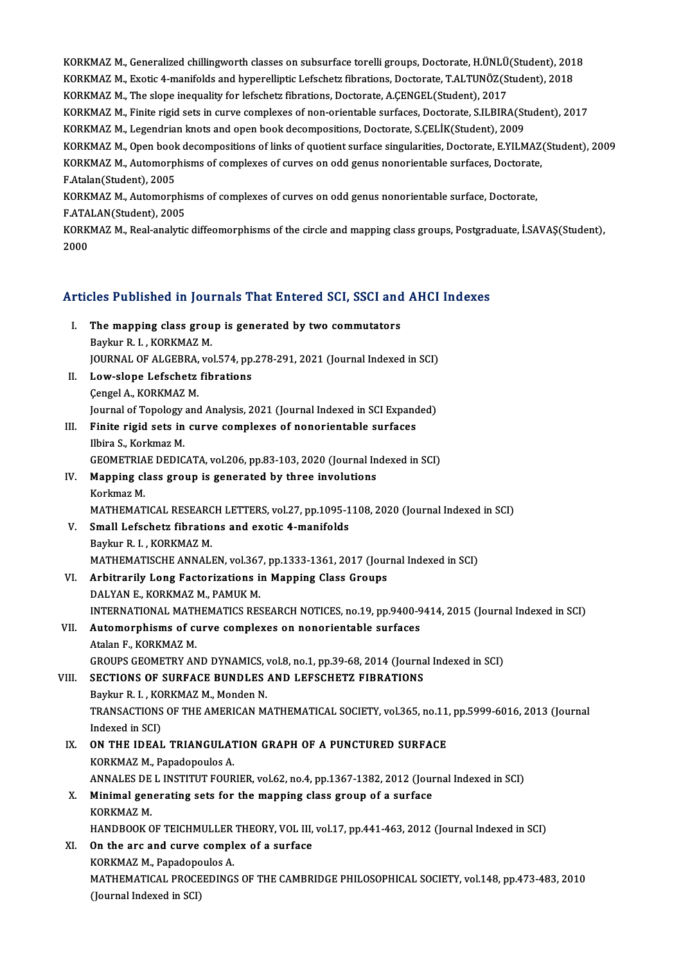KORKMAZ M., Generalized chillingworth classes on subsurface torelli groups, Doctorate, H.ÜNLÜ(Student), 2018<br>KORKMAZ M. Evetis 4 manifolds and bynanellintie Lefebbetz fibrations. Doctorate, T.ALTUNÖZ(Student), 2018 KORKMAZ M., Generalized chillingworth classes on subsurface torelli groups, Doctorate, H.ÜNLÜ(Student), 201<br>KORKMAZ M., Exotic 4-manifolds and hyperelliptic Lefschetz fibrations, Doctorate, T.ALTUNÖZ(Student), 2018<br>KORKMAZ KORKMAZ M., Generalized chillingworth classes on subsurface torelli groups, Doctorate, H.ÜNLÜ<br>KORKMAZ M., Exotic 4-manifolds and hyperelliptic Lefschetz fibrations, Doctorate, T.ALTUNÖZ(St<br>KORKMAZ M., The slope inequality KORKMAZ M., Exotic 4-manifolds and hyperelliptic Lefschetz fibrations, Doctorate, T.ALTUNÖZ(Student), 2018<br>KORKMAZ M., The slope inequality for lefschetz fibrations, Doctorate, A.ÇENGEL(Student), 2017<br>KORKMAZ M., Finite ri KORKMAZ M., The slope inequality for lefschetz fibrations, Doctorate, A.ÇENGEL(Student), 2017<br>KORKMAZ M., Finite rigid sets in curve complexes of non-orientable surfaces, Doctorate, S.ILBIRA(St<br>KORKMAZ M., Legendrian knots KORKMAZ M., Finite rigid sets in curve complexes of non-orientable surfaces, Doctorate, S.ILBIRA(Student), 2017<br>KORKMAZ M., Legendrian knots and open book decompositions, Doctorate, S.ÇELİK(Student), 2009<br>KORKMAZ M., Open KORKMAZ M., Legendrian knots and open book decompositions, Doctorate, S.ÇELİK(Student), 2009<br>KORKMAZ M., Open book decompositions of links of quotient surface singularities, Doctorate, E.YILMAZ<br>KORKMAZ M., Automorphisms of KORKMAZ M., Open book<br>KORKMAZ M., Automorp<br>F.Atalan(Student), 2005<br>KORKMAZ M., Automorp KORKMAZ M., Automorphisms of complexes of curves on odd genus nonorientable surfaces, Doctorate<br>F.Atalan(Student), 2005<br>KORKMAZ M., Automorphisms of complexes of curves on odd genus nonorientable surface, Doctorate,<br>E ATAL F.Atalan(Student), 2005<br>KORKMAZ M., Automorphis<br>F.ATALAN(Student), 2005<br>KORKMAZ M. Beal analytic KORKMAZ M., Real-analytic diffeomorphisms of the circle and mapping class groups, Postgraduate, İ.SAVAŞ(Student),<br>2000 FATALAN(Student), 2005

# 2<sup>000</sup><br>Articles Published in Journals That Entered SCI, SSCI and AHCI Indexes

|       | Articles Published in Journals That Entered SCI, SSCI and AHCI Indexes                                                  |
|-------|-------------------------------------------------------------------------------------------------------------------------|
| L     | The mapping class group is generated by two commutators<br>Baykur R. I., KORKMAZ M.                                     |
|       | JOURNAL OF ALGEBRA, vol.574, pp.278-291, 2021 (Journal Indexed in SCI)                                                  |
| Н.    | Low-slope Lefschetz fibrations                                                                                          |
|       | Çengel A., KORKMAZ M.                                                                                                   |
|       | Journal of Topology and Analysis, 2021 (Journal Indexed in SCI Expanded)                                                |
| III.  | Finite rigid sets in curve complexes of nonorientable surfaces                                                          |
|       | Ilbira S., Korkmaz M.                                                                                                   |
|       | GEOMETRIAE DEDICATA, vol.206, pp.83-103, 2020 (Journal Indexed in SCI)                                                  |
| IV.   | Mapping class group is generated by three involutions                                                                   |
|       | Korkmaz M                                                                                                               |
|       | MATHEMATICAL RESEARCH LETTERS, vol.27, pp.1095-1108, 2020 (Journal Indexed in SCI)                                      |
| V.    | Small Lefschetz fibrations and exotic 4-manifolds                                                                       |
|       | Baykur R. I., KORKMAZ M.                                                                                                |
|       | MATHEMATISCHE ANNALEN, vol.367, pp.1333-1361, 2017 (Journal Indexed in SCI)                                             |
| VI.   | Arbitrarily Long Factorizations in Mapping Class Groups                                                                 |
|       | DALYAN E, KORKMAZ M, PAMUK M.                                                                                           |
|       | INTERNATIONAL MATHEMATICS RESEARCH NOTICES, no.19, pp.9400-9414, 2015 (Journal Indexed in SCI)                          |
| VII.  | Automorphisms of curve complexes on nonorientable surfaces                                                              |
|       | Atalan F., KORKMAZ M.                                                                                                   |
|       | GROUPS GEOMETRY AND DYNAMICS, vol.8, no.1, pp.39-68, 2014 (Journal Indexed in SCI)                                      |
| VIII. | SECTIONS OF SURFACE BUNDLES AND LEFSCHETZ FIBRATIONS                                                                    |
|       | Baykur R. I., KORKMAZ M., Monden N.                                                                                     |
|       | TRANSACTIONS OF THE AMERICAN MATHEMATICAL SOCIETY, vol.365, no.11, pp.5999-6016, 2013 (Journal                          |
|       | Indexed in SCI)                                                                                                         |
| IX.   | ON THE IDEAL TRIANGULATION GRAPH OF A PUNCTURED SURFACE                                                                 |
|       | KORKMAZ M., Papadopoulos A.<br>ANNALES DE L INSTITUT FOURIER, vol.62, no.4, pp.1367-1382, 2012 (Journal Indexed in SCI) |
|       | X. Minimal generating sets for the mapping class group of a surface                                                     |
|       | KORKMAZ M.                                                                                                              |
|       | HANDBOOK OF TEICHMULLER THEORY, VOL III, vol.17, pp.441-463, 2012 (Journal Indexed in SCI)                              |
| XI.   | On the arc and curve complex of a surface                                                                               |
|       | KORKMAZ M., Papadopoulos A.                                                                                             |
|       | MATHEMATICAL PROCEEDINGS OF THE CAMBRIDGE PHILOSOPHICAL SOCIETY, vol.148, pp.473-483, 2010                              |
|       | (Journal Indexed in SCI)                                                                                                |
|       |                                                                                                                         |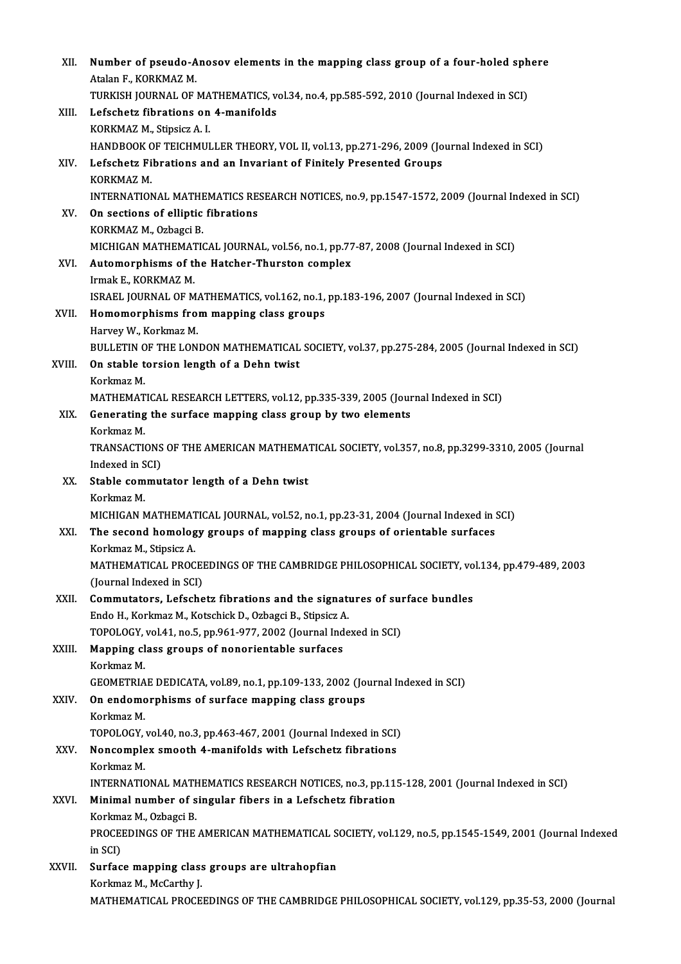| XII.   | Number of pseudo-Anosov elements in the mapping class group of a four-holed sphere                   |
|--------|------------------------------------------------------------------------------------------------------|
|        | Atalan F, KORKMAZ M.                                                                                 |
|        | TURKISH JOURNAL OF MATHEMATICS, vol.34, no.4, pp.585-592, 2010 (Journal Indexed in SCI)              |
| XIII.  | Lefschetz fibrations on 4-manifolds                                                                  |
|        | KORKMAZ M., Stipsicz A. I.                                                                           |
|        | HANDBOOK OF TEICHMULLER THEORY, VOL II, vol.13, pp.271-296, 2009 (Journal Indexed in SCI)            |
| XIV.   | Lefschetz Fibrations and an Invariant of Finitely Presented Groups                                   |
|        | KORKMAZ M.                                                                                           |
|        | INTERNATIONAL MATHEMATICS RESEARCH NOTICES, no.9, pp.1547-1572, 2009 (Journal Indexed in SCI)        |
| XV.    | On sections of elliptic fibrations                                                                   |
|        | KORKMAZ M., Ozbagci B.                                                                               |
|        | MICHIGAN MATHEMATICAL JOURNAL, vol.56, no.1, pp.77-87, 2008 (Journal Indexed in SCI)                 |
| XVI.   | Automorphisms of the Hatcher-Thurston complex                                                        |
|        | Irmak E, KORKMAZ M.                                                                                  |
|        | ISRAEL JOURNAL OF MATHEMATICS, vol.162, no.1, pp.183-196, 2007 (Journal Indexed in SCI)              |
| XVII.  | Homomorphisms from mapping class groups<br>Harvey W., Korkmaz M.                                     |
|        | BULLETIN OF THE LONDON MATHEMATICAL SOCIETY, vol.37, pp.275-284, 2005 (Journal Indexed in SCI)       |
| XVIII. | On stable torsion length of a Dehn twist                                                             |
|        | Korkmaz M.                                                                                           |
|        | MATHEMATICAL RESEARCH LETTERS, vol.12, pp.335-339, 2005 (Journal Indexed in SCI)                     |
| XIX.   | Generating the surface mapping class group by two elements                                           |
|        | Korkmaz M.                                                                                           |
|        | TRANSACTIONS OF THE AMERICAN MATHEMATICAL SOCIETY, vol.357, no.8, pp.3299-3310, 2005 (Journal        |
|        | Indexed in SCI)                                                                                      |
| XX.    | Stable commutator length of a Dehn twist                                                             |
|        | Korkmaz M.                                                                                           |
|        | MICHIGAN MATHEMATICAL JOURNAL, vol.52, no.1, pp.23-31, 2004 (Journal Indexed in SCI)                 |
| XXI.   | The second homology groups of mapping class groups of orientable surfaces                            |
|        | Korkmaz M., Stipsicz A.                                                                              |
|        | MATHEMATICAL PROCEEDINGS OF THE CAMBRIDGE PHILOSOPHICAL SOCIETY, vol.134, pp.479-489, 2003           |
|        | (Journal Indexed in SCI)                                                                             |
| XXII.  | Commutators, Lefschetz fibrations and the signatures of surface bundles                              |
|        | Endo H., Korkmaz M., Kotschick D., Ozbagci B., Stipsicz A.                                           |
|        | TOPOLOGY, vol.41, no.5, pp.961-977, 2002 (Journal Indexed in SCI)                                    |
| XXIII. | Mapping class groups of nonorientable surfaces<br>Korkmaz M.                                         |
|        | GEOMETRIAE DEDICATA, vol.89, no.1, pp.109-133, 2002 (Journal Indexed in SCI)                         |
| XXIV.  | On endomorphisms of surface mapping class groups                                                     |
|        | Korkmaz M.                                                                                           |
|        | TOPOLOGY, vol.40, no.3, pp.463-467, 2001 (Journal Indexed in SCI)                                    |
| XXV.   | Noncomplex smooth 4-manifolds with Lefschetz fibrations                                              |
|        | Korkmaz M                                                                                            |
|        | INTERNATIONAL MATHEMATICS RESEARCH NOTICES, no.3, pp.115-128, 2001 (Journal Indexed in SCI)          |
| XXVI.  | Minimal number of singular fibers in a Lefschetz fibration                                           |
|        | Korkmaz M., Ozbagci B.                                                                               |
|        | PROCEEDINGS OF THE AMERICAN MATHEMATICAL SOCIETY, vol.129, no.5, pp.1545-1549, 2001 (Journal Indexed |
|        | in SCI)                                                                                              |
| XXVII. | Surface mapping class groups are ultrahopfian                                                        |
|        | Korkmaz M., McCarthy J.                                                                              |
|        | MATHEMATICAL PROCEEDINGS OF THE CAMBRIDGE PHILOSOPHICAL SOCIETY, vol.129, pp.35-53, 2000 (Journal    |
|        |                                                                                                      |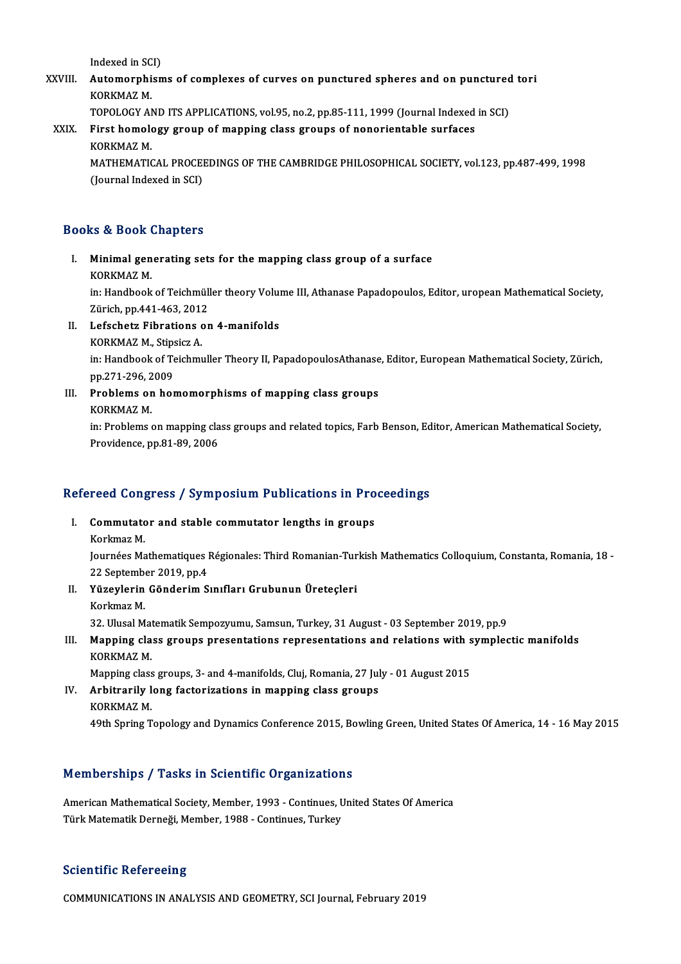Indexed in SCI)<br>Automonnhion

Indexed in SCI)<br>XXVIII. Automorphisms of complexes of curves on punctured spheres and on punctured tori Indexed in SC<br><mark>Automorphi</mark><br>KORKMAZ M.<br>TOPOLOCY AL Automorphisms of complexes of curves on punctured spheres and on punctured<br>KORKMAZ M.<br>TOPOLOGY AND ITS APPLICATIONS, vol.95, no.2, pp.85-111, 1999 (Journal Indexed in SCI)<br>First bomelogy group of manning class groups of po

KORKMAZ M.<br>TOPOLOGY AND ITS APPLICATIONS, vol.95, no.2, pp.85-111, 1999 (Journal Indexed<br>XXIX. First homology group of mapping class groups of nonorientable surfaces<br>KORKMAZ M TOPOLOGY AN<br>First homole<br>KORKMAZ M.<br>MATHEMATIC First homology group of mapping class groups of nonorientable surfaces<br>KORKMAZ M.<br>MATHEMATICAL PROCEEDINGS OF THE CAMBRIDGE PHILOSOPHICAL SOCIETY, vol.123, pp.487-499, 1998<br>(Journal Indoved in SCL)

KORKMAZ M.<br>MATHEMATICAL PROCEI<br>(Journal Indexed in SCI)

## (Journal Indexed in SCI)<br>Books & Book Chapters

ooks & Book Chapters<br>I. Minimal generating sets for the mapping class group of a surface<br>KORKMAZ M ks & Book<br>Minimal gen<br>KORKMAZ M.<br>in: Handback

Minimal generating sets for the mapping class group of a surface<br>KORKMAZ M.<br>in: Handbook of Teichmüller theory Volume III, Athanase Papadopoulos, Editor, uropean Mathematical Society,<br>Zürich, pp.441,462,2012. KORKMAZ M.<br>in: Handbook of Teichmüll<br>Zürich, pp.441-463, 2012<br>Lefesbetr Eibretiens er Zürich, pp 441-463, 2012

- II. Lefschetz Fibrations on 4-manifolds
	- KORKMAZ M., Stipsicz A.

in: Handbook of Teichmuller Theory II, PapadopoulosAthanase, Editor, European Mathematical Society, Zürich, pp.271-296, 2009 in: Handbook of Teichmuller Theory II, PapadopoulosAthanase<br>pp.271-296, 2009<br>III. Problems on homomorphisms of mapping class groups<br>FOREMAZ M

- pp.271-296, 2<br><mark>Problems or</mark><br>KORKMAZ M.<br>in: Problems 4
	-

Problems on homomorphisms of mapping class groups<br>KORKMAZ M.<br>in: Problems on mapping class groups and related topics, Farb Benson, Editor, American Mathematical Society,<br>Providence np.91, 89, 2006 KORKMAZ M.<br>in: Problems on mapping cla<br>Providence, pp.81-89, 2006

## rrovidence, pp.81-89, 2006<br>Refereed Congress / Symposium Publications in Proceedings efereed Congress / Symposium Publications in Pro<br>I. Commutator and stable commutator lengths in groups<br>Korkmas M

I. Commutator and stable commutator lengths in groups<br>Korkmaz M.

Commutator and stable commutator lengths in groups<br>Korkmaz M.<br>Journées Mathematiques Régionales: Third Romanian-Turkish Mathematics Colloquium, Constanta, Romania, 18 -<br>22 Sentember 2010 np.4 Korkmaz M.<br>Journées Mathematiques l<br>22 September 2019, pp.4<br>Vürevlerin Gönderim S Journées Mathematiques Régionales: Third Romanian-Tur<br>22 September 2019, pp.4<br>II. Yüzeylerin Gönderim Sınıfları Grubunun Üreteçleri<br>Karlmar M

- 22 September<br>**Yüzeylerin<br>Korkmaz M.**<br>22. Ulusel M Korkmaz M.<br>32. Ulusal Matematik Sempozyumu, Samsun, Turkey, 31 August - 03 September 2019, pp.9
- Korkmaz M.<br>32. Ulusal Matematik Sempozyumu, Samsun, Turkey, 31 August 03 September 2019, pp.9<br>III. Mapping class groups presentations representations and relations with symplectic manifolds<br>KORKMAZ M 32. Ulusal Mat<br><mark>Mapping cla</mark><br>KORKMAZ M.<br>Manning class Mapping class groups presentations representations and relations with s<br>KORKMAZ M.<br>Mapping class groups, 3- and 4-manifolds, Cluj, Romania, 27 July - 01 August 2015

KORKMAZ M.<br>Mapping class groups, 3- and 4-manifolds, Cluj, Romania, 27 Jul<br>IV. Arbitrarily long factorizations in mapping class groups<br>KORKMAZ M Mapping class<br>Arbitrarily 1<br>KORKMAZ M.<br>40th Spring T KORKMAZ M.<br>49th Spring Topology and Dynamics Conference 2015, Bowling Green, United States Of America, 14 - 16 May 2015

### Memberships / Tasks in Scientific Organizations

American Mathematical Society, Member, 1993 - Continues, United States Of America Türk Matematik Derneği, Member, 1988 - Continues, Turkey

### **Scientific Refereeing**

COMMUNICATIONS INANALYSISANDGEOMETRY,SCI Journal,February2019